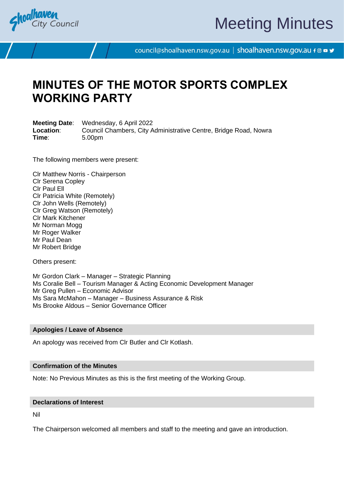

# Meeting Minutes

council@shoalhaven.nsw.gov.au | shoalhaven.nsw.gov.au f @ ■ y

## **MINUTES OF THE MOTOR SPORTS COMPLEX WORKING PARTY**

**Meeting Date**: Wednesday, 6 April 2022 **Location**: Council Chambers, City Administrative Centre, Bridge Road, Nowra **Time**: 5.00pm

The following members were present:

Clr Matthew Norris - Chairperson Clr Serena Copley Clr Paul Ell Clr Patricia White (Remotely) Clr John Wells (Remotely) Clr Greg Watson (Remotely) Clr Mark Kitchener Mr Norman Mogg Mr Roger Walker Mr Paul Dean Mr Robert Bridge

Others present:

Mr Gordon Clark – Manager – Strategic Planning Ms Coralie Bell – Tourism Manager & Acting Economic Development Manager Mr Greg Pullen – Economic Advisor Ms Sara McMahon – Manager – Business Assurance & Risk Ms Brooke Aldous – Senior Governance Officer

### **Apologies / Leave of Absence**

An apology was received from Clr Butler and Clr Kotlash.

### **Confirmation of the Minutes**

Note: No Previous Minutes as this is the first meeting of the Working Group.

#### **Declarations of Interest**

Nil

The Chairperson welcomed all members and staff to the meeting and gave an introduction.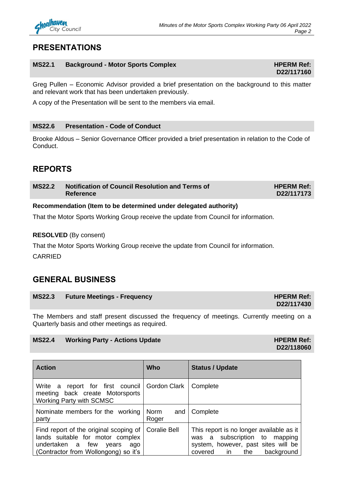

## **PRESENTATIONS**

## **MS22.1 Background - Motor Sports Complex HPERM Ref: HPERM Ref:**

Greg Pullen – Economic Advisor provided a brief presentation on the background to this matter and relevant work that has been undertaken previously.

A copy of the Presentation will be sent to the members via email.

## **MS22.6 Presentation - Code of Conduct**

Brooke Aldous – Senior Governance Officer provided a brief presentation in relation to the Code of Conduct.

## **REPORTS**

| <b>MS22.2</b> | Notification of Council Resolution and Terms of<br>Reference | <b>HPERM Ref:</b><br>D22/117173 |
|---------------|--------------------------------------------------------------|---------------------------------|
|               |                                                              |                                 |

## **Recommendation (Item to be determined under delegated authority)**

That the Motor Sports Working Group receive the update from Council for information.

## **RESOLVED** (By consent)

That the Motor Sports Working Group receive the update from Council for information.

CARRIED

## **GENERAL BUSINESS**

| MS22.3 Future Meetings - Frequency | <b>HPERM Ref:</b> |
|------------------------------------|-------------------|
|                                    | D22/117430        |

The Members and staff present discussed the frequency of meetings. Currently meeting on a Quarterly basis and other meetings as required.

## **MS22.4 Working Party - Actions Update HPERM Ref: HPERM Ref: HPERM Ref: HPERM Ref:**

| <b>Action</b>                                                                                                                                          | <b>Who</b>           | <b>Status / Update</b>                                                                                                                                 |
|--------------------------------------------------------------------------------------------------------------------------------------------------------|----------------------|--------------------------------------------------------------------------------------------------------------------------------------------------------|
| Write a report for first council Gordon Clark<br>meeting back create Motorsports<br><b>Working Party with SCMSC</b>                                    |                      | Complete                                                                                                                                               |
| Nominate members for the working<br>party                                                                                                              | Norm<br>and<br>Roger | Complete                                                                                                                                               |
| Find report of the original scoping of<br>lands suitable for motor complex<br>undertaken a few<br>vears<br>ago<br>(Contractor from Wollongong) so it's | <b>Coralie Bell</b>  | This report is no longer available as it<br>was a subscription to mapping<br>system, however, past sites will be<br>background<br>the<br>in<br>covered |

## **D22/117160**

**D22/118060**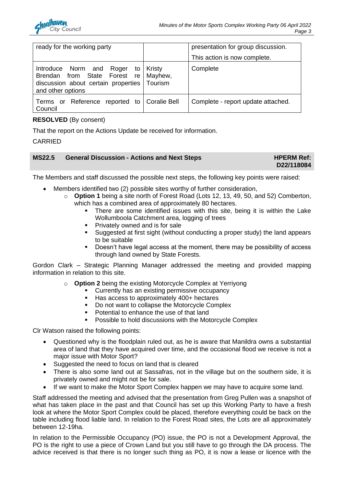| ready for the working party                                                                                                                        | presentation for group discussion. |
|----------------------------------------------------------------------------------------------------------------------------------------------------|------------------------------------|
|                                                                                                                                                    | This action is now complete.       |
| Introduce Norm and Roger to Kristy<br>Brendan from State Forest re   Mayhew,<br>discussion about certain properties   Tourism<br>and other options | Complete                           |
| Terms or Reference reported to Coralie Bell<br>Council                                                                                             | Complete - report update attached. |

## **RESOLVED** (By consent)

That the report on the Actions Update be received for information.

CARRIED

| MS22.5 General Discussion - Actions and Next Steps | <b>HPERM Ref:</b> |
|----------------------------------------------------|-------------------|
|                                                    | D22/118084        |

The Members and staff discussed the possible next steps, the following key points were raised:

- Members identified two (2) possible sites worthy of further consideration,
	- o **Option 1** being a site north of Forest Road (Lots 12, 13, 49, 50, and 52) Comberton, which has a combined area of approximately 80 hectares.
		- There are some identified issues with this site, being it is within the Lake Wollumboola Catchment area, logging of trees
		- Privately owned and is for sale
		- Suggested at first sight (without conducting a proper study) the land appears to be suitable
		- Doesn't have legal access at the moment, there may be possibility of access through land owned by State Forests.

Gordon Clark – Strategic Planning Manager addressed the meeting and provided mapping information in relation to this site.

o **Option 2** being the existing Motorcycle Complex at Yerriyong

- Currently has an existing permissive occupancy
- Has access to approximately 400+ hectares
- Do not want to collapse the Motorcycle Complex
- Potential to enhance the use of that land
- Possible to hold discussions with the Motorcycle Complex

Clr Watson raised the following points:

- Questioned why is the floodplain ruled out, as he is aware that Manildra owns a substantial area of land that they have acquired over time, and the occasional flood we receive is not a major issue with Motor Sport?
- Suggested the need to focus on land that is cleared
- There is also some land out at Sassafras, not in the village but on the southern side, it is privately owned and might not be for sale.
- If we want to make the Motor Sport Complex happen we may have to acquire some land.

Staff addressed the meeting and advised that the presentation from Greg Pullen was a snapshot of what has taken place in the past and that Council has set up this Working Party to have a fresh look at where the Motor Sport Complex could be placed, therefore everything could be back on the table including flood liable land. In relation to the Forest Road sites, the Lots are all approximately between 12-19ha.

In relation to the Permissible Occupancy (PO) issue, the PO is not a Development Approval, the PO is the right to use a piece of Crown Land but you still have to go through the DA process. The advice received is that there is no longer such thing as PO, it is now a lease or licence with the